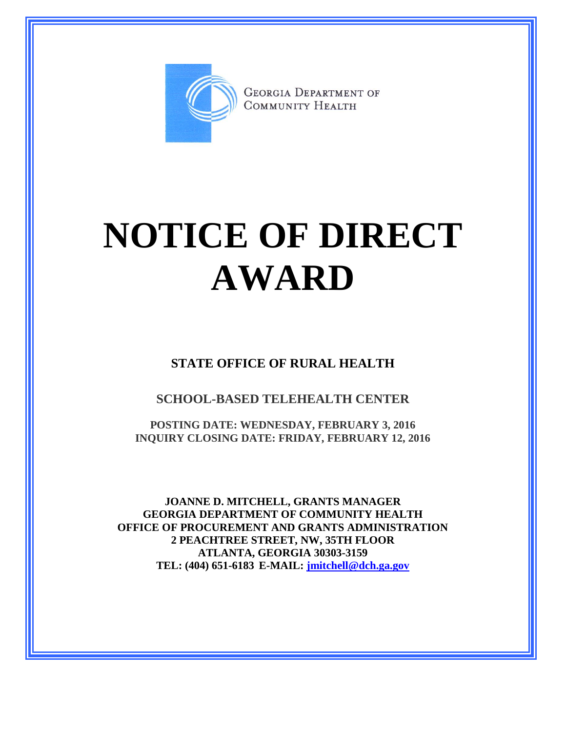

**GEORGIA DEPARTMENT OF** COMMUNITY HEALTH

## **NOTICE OF DIRECT AWARD**

**STATE OFFICE OF RURAL HEALTH**

**SCHOOL-BASED TELEHEALTH CENTER**

**POSTING DATE: WEDNESDAY, FEBRUARY 3, 2016 INQUIRY CLOSING DATE: FRIDAY, FEBRUARY 12, 2016**

**JOANNE D. MITCHELL, GRANTS MANAGER GEORGIA DEPARTMENT OF COMMUNITY HEALTH OFFICE OF PROCUREMENT AND GRANTS ADMINISTRATION 2 PEACHTREE STREET, NW, 35TH FLOOR ATLANTA, GEORGIA 30303-3159 TEL: (404) 651-6183 E-MAIL: [jmitchell@dch.ga.gov](mailto:awatson@dch.ga.gov)**